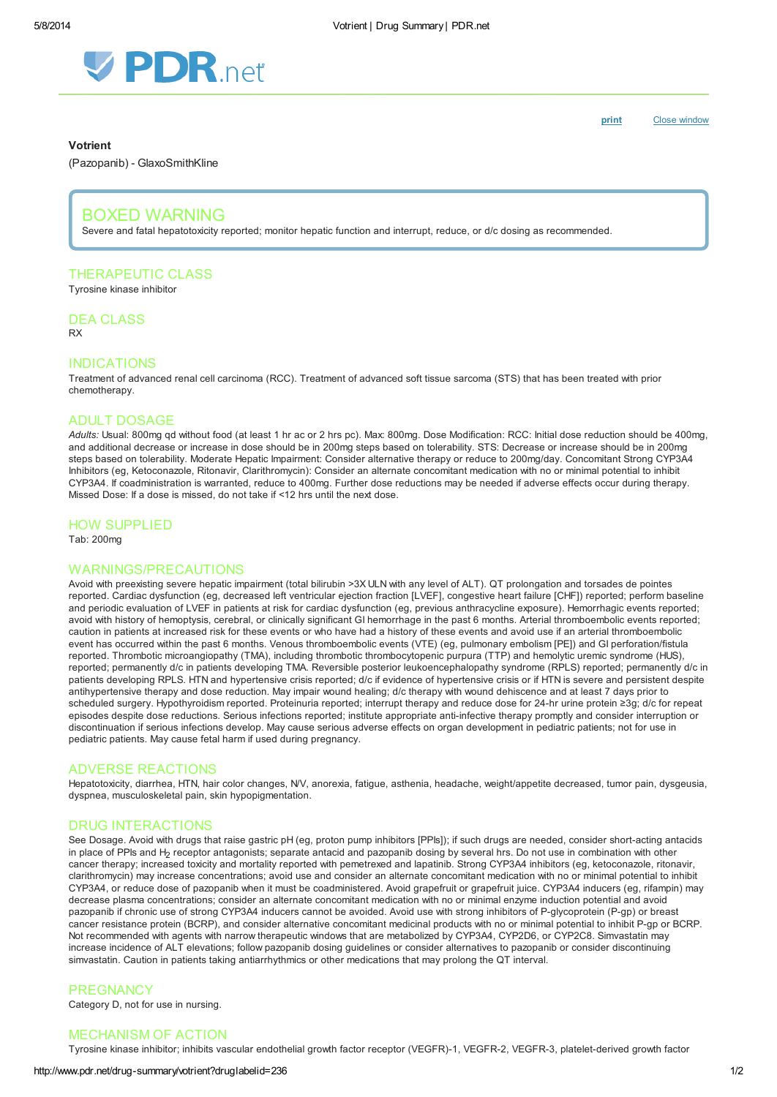

[print](http://www.pdr.net/Custom/UI/UserControls/#) Close window

#### Votrient

(Pazopanib) - GlaxoSmithKline

# BOXED WARNING

Severe and fatal hepatotoxicity reported; monitor hepatic function and interrupt, reduce, or d/c dosing as recommended.

# THERAPEUTIC CLASS

Tyrosine kinase inhibitor

DEA CLASS RX

## INDICATIONS

Treatment of advanced renal cell carcinoma (RCC). Treatment of advanced soft tissue sarcoma (STS) that has been treated with prior chemotherapy.

# ADULT DOSAGE

Adults: Usual: 800mg qd without food (at least 1 hr ac or 2 hrs pc). Max: 800mg. Dose Modification: RCC: Initial dose reduction should be 400mg, and additional decrease or increase in dose should be in 200mg steps based on tolerability. STS: Decrease or increase should be in 200mg steps based on tolerability. Moderate Hepatic Impairment: Consider alternative therapy or reduce to 200mg/day. Concomitant Strong CYP3A4 Inhibitors (eg, Ketoconazole, Ritonavir, Clarithromycin): Consider an alternate concomitant medication with no or minimal potential to inhibit CYP3A4. If coadministration is warranted, reduce to 400mg. Further dose reductions may be needed if adverse effects occur during therapy. Missed Dose: If a dose is missed, do not take if <12 hrs until the next dose.

# HOW SUPPLIED

Tab: 200mg

#### WARNINGS/PRECAUTIONS

Avoid with preexisting severe hepatic impairment (total bilirubin >3X ULN with any level of ALT). QT prolongation and torsades de pointes reported. Cardiac dysfunction (eg, decreased left ventricular ejection fraction [LVEF], congestive heart failure [CHF]) reported; perform baseline and periodic evaluation of LVEF in patients at risk for cardiac dysfunction (eg, previous anthracycline exposure). Hemorrhagic events reported; avoid with history of hemoptysis, cerebral, or clinically significant GI hemorrhage in the past 6 months. Arterial thromboembolic events reported; caution in patients at increased risk for these events or who have had a history of these events and avoid use if an arterial thromboembolic event has occurred within the past 6 months. Venous thromboembolic events (VTE) (eg, pulmonary embolism [PE]) and GI perforation/fistula reported. Thrombotic microangiopathy (TMA), including thrombotic thrombocytopenic purpura (TTP) and hemolytic uremic syndrome (HUS), reported; permanently d/c in patients developing TMA. Reversible posterior leukoencephalopathy syndrome (RPLS) reported; permanently d/c in patients developing RPLS. HTN and hypertensive crisis reported; d/c if evidence of hypertensive crisis or if HTN is severe and persistent despite antihypertensive therapy and dose reduction. May impair wound healing; d/c therapy with wound dehiscence and at least 7 days prior to scheduled surgery. Hypothyroidism reported. Proteinuria reported; interrupt therapy and reduce dose for 24-hr urine protein ≥3g; d/c for repeat episodes despite dose reductions. Serious infections reported; institute appropriate anti-infective therapy promptly and consider interruption or discontinuation if serious infections develop. May cause serious adverse effects on organ development in pediatric patients; not for use in pediatric patients. May cause fetal harm if used during pregnancy.

#### ADVERSE REACTIONS

Hepatotoxicity, diarrhea, HTN, hair color changes, N/V, anorexia, fatigue, asthenia, headache, weight/appetite decreased, tumor pain, dysgeusia, dyspnea, musculoskeletal pain, skin hypopigmentation.

#### DRUG INTERACTIONS

See Dosage. Avoid with drugs that raise gastric pH (eg, proton pump inhibitors [PPIs]); if such drugs are needed, consider short-acting antacids in place of PPIs and H<sub>2</sub> receptor antagonists; separate antacid and pazopanib dosing by several hrs. Do not use in combination with other cancer therapy; increased toxicity and mortality reported with pemetrexed and lapatinib. Strong CYP3A4 inhibitors (eg, ketoconazole, ritonavir, clarithromycin) may increase concentrations; avoid use and consider an alternate concomitant medication with no or minimal potential to inhibit CYP3A4, or reduce dose of pazopanib when it must be coadministered. Avoid grapefruit or grapefruit juice. CYP3A4 inducers (eg, rifampin) may decrease plasma concentrations; consider an alternate concomitant medication with no or minimal enzyme induction potential and avoid pazopanib if chronic use of strong CYP3A4 inducers cannot be avoided. Avoid use with strong inhibitors of P-glycoprotein (P-gp) or breast cancer resistance protein (BCRP), and consider alternative concomitant medicinal products with no or minimal potential to inhibit P-gp or BCRP. Not recommended with agents with narrow therapeutic windows that are metabolized by CYP3A4, CYP2D6, or CYP2C8. Simvastatin may increase incidence of ALT elevations; follow pazopanib dosing guidelines or consider alternatives to pazopanib or consider discontinuing simvastatin. Caution in patients taking antiarrhythmics or other medications that may prolong the QT interval.

#### **PREGNANCY**

Category D, not for use in nursing.

# MECHANISM OF ACTION

Tyrosine kinase inhibitor; inhibits vascular endothelial growth factor receptor (VEGFR)-1, VEGFR-2, VEGFR-3, platelet-derived growth factor